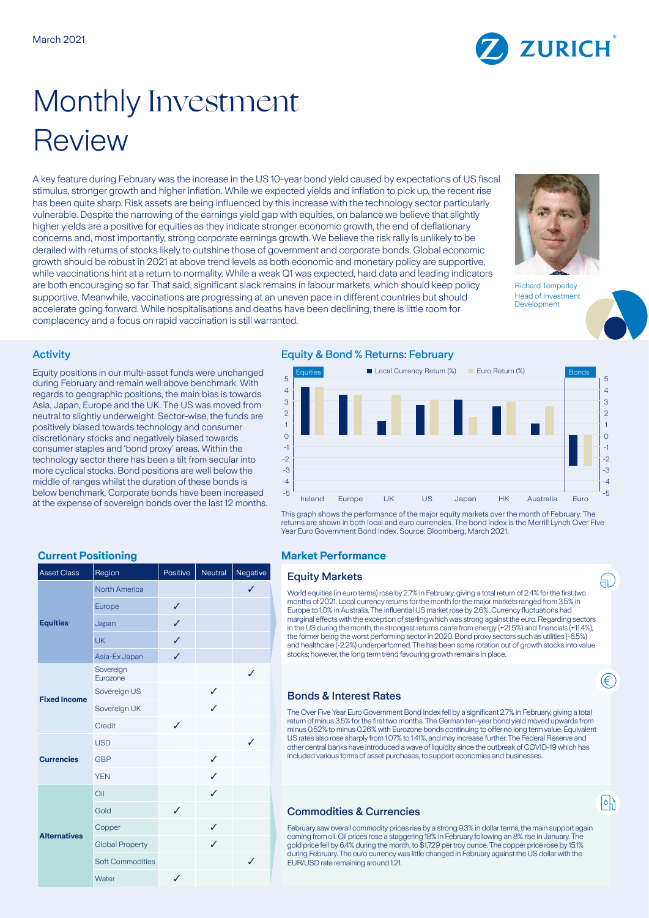

# Monthly Investment Review

A key feature during February was the increase in the US 10-year bond yield caused by expectations of US fiscal stimulus, stronger growth and higher inflation. While we expected yields and inflation to pick up, the recent rise has been quite sharp. Risk assets are being influenced by this increase with the technology sector particularly vulnerable. Despite the narrowing of the earnings yield gap with equities, on balance we believe that slightly higher yields are a positive for equities as they indicate stronger economic growth, the end of deflationary concerns and, most importantly, strong corporate earnings growth. We believe the risk rally is unlikely to be derailed with returns of stocks likely to outshine those of government and corporate bonds. Global economic growth should be robust in 2021 at above trend levels as both economic and monetary policy are supportive, while vaccinations hint at a return to normality. While a weak Q1 was expected, hard data and leading indicators are both encouraging so far. That said, significant slack remains in labour markets, which should keep policy supportive. Meanwhile, vaccinations are progressing at an uneven pace in different countries but should accelerate going forward. While hospitalisations and deaths have been declining, there is little room for complacency and a focus on rapid vaccination is still warranted.



Richard Temperley Head of Investment **Development** 

₩.

€

 $|\circ|$ 

#### Activity

Equity positions in our multi-asset funds were unchanged during February and remain well above benchmark. With regards to geographic positions, the main bias is towards Asia, Japan, Europe and the UK. The US was moved from neutral to slightly underweight. Sector-wise, the funds are positively biased towards technology and consumer discretionary stocks and negatively biased towards consumer staples and 'bond proxy' areas. Within the technology sector there has been a tilt from secular into more cyclical stocks. Bond positions are well below the middle of ranges whilst the duration of these bonds is below benchmark. Corporate bonds have been increased at the expense of sovereign bonds over the last 12 months.

| <b>Asset Class</b>  | Region                  | Positive     | Neutral | Negative     |
|---------------------|-------------------------|--------------|---------|--------------|
| <b>Equities</b>     | North America           |              |         | $\checkmark$ |
|                     | Europe                  | ✓            |         |              |
|                     | Japan                   | $\checkmark$ |         |              |
|                     | <b>UK</b>               | ✓            |         |              |
|                     | Asia-Ex Japan           | ✓            |         |              |
| <b>Fixed Income</b> | Sovereign<br>Eurozone   |              |         | J            |
|                     | Sovereign US            |              | ✓       |              |
|                     | Sovereign UK            |              | ✓       |              |
|                     | Credit                  | J            |         |              |
| <b>Currencies</b>   | <b>USD</b>              |              |         | $\checkmark$ |
|                     | <b>GBP</b>              |              | ✓       |              |
|                     | <b>YEN</b>              |              | ✓       |              |
| <b>Alternatives</b> | Oil                     |              | ✓       |              |
|                     | Gold                    | ✓            |         |              |
|                     | Copper                  |              | ✓       |              |
|                     | <b>Global Property</b>  |              | ✓       |              |
|                     | <b>Soft Commodities</b> |              |         | ✓            |
|                     | Water                   | ✓            |         |              |

### Equity & Bond % Returns: February



This graph shows the performance of the major equity markets over the month of February. The returns are shown in both local and euro currencies. The bond index is the Merrill Lynch Over Five Year Euro Government Bond Index. Source: Bloomberg, March 2021.

#### **Current Positioning Market Performance**

#### **Equity Markets**

World equities (in euro terms) rose by 2.7% in February, giving a total return of 2.4% for the first two months of 2021. Local currency returns for the month for the major markets ranged from 3.5% in Europe to 1.0% in Australia. The influential US market rose by 2.6%. Currency fluctuations had marginal effects with the exception of sterling which was strong against the euro. Regarding sectors in the US during the month, the strongest returns came from energy (+21.5%) and financials (+11.4%), the former being the worst performing sector in 2020. Bond proxy sectors such as utilities (-6.5%) and healthcare (-2.2%) underperformed. The has been some rotation out of growth stocks into value stocks; however, the long term trend favouring growth remains in place.

# Bonds & Interest Rates

The Over Five Year Euro Government Bond Index fell by a significant 2.7% in February, giving a total return of minus 3.5% for the first two months. The German ten-year bond yield moved upwards from minus 0.52% to minus 0.26% with Eurozone bonds continuing to offer no long term value. Equivalent US rates also rose sharply from 1.07% to 1.41%, and may increase further. The Federal Reserve and other central banks have introduced a wave of liquidity since the outbreak of COVID-19 which has included various forms of asset purchases, to support economies and businesses

# Commodities & Currencies

February saw overall commodity prices rise by a strong 9.3% in dollar terms, the main support again coming from oil. Oil prices rose a staggering 18% in February following an 8% rise in January. The gold price fell by 6.4% during the month, to \$1,729 per troy ounce. The copper price rose by 15.1% during February. The euro currency was little changed in February against the US dollar with the EUR/USD rate remaining around 1.21.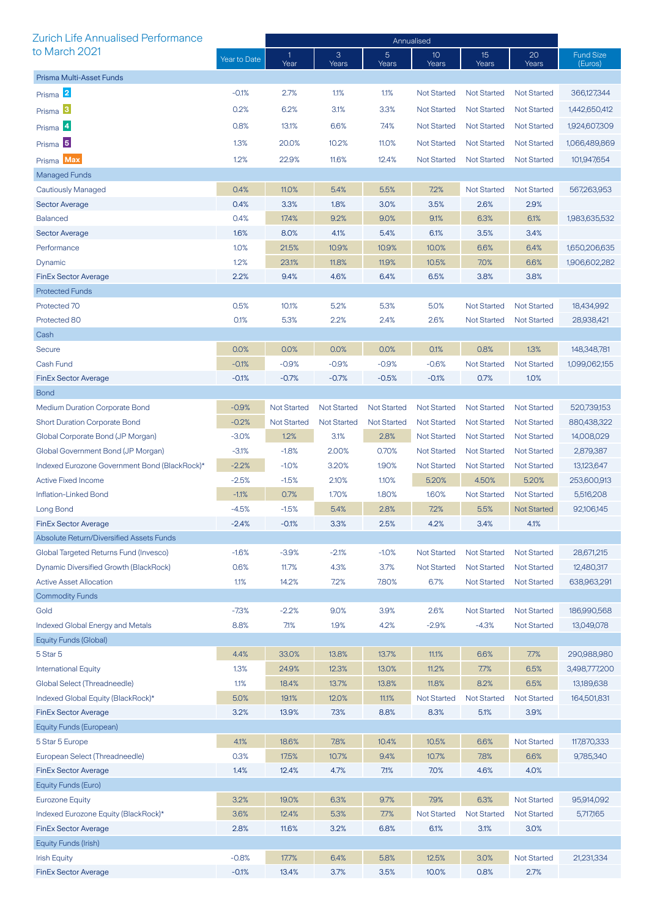| Zurich Life Annualised Performance            |              | Annualised           |                    |                         |                          |                    |                    |                             |
|-----------------------------------------------|--------------|----------------------|--------------------|-------------------------|--------------------------|--------------------|--------------------|-----------------------------|
| to March 2021                                 | Year to Date | $\mathbf{1}$<br>Year | 3<br>Years         | $\overline{5}$<br>Years | 10 <sup>°</sup><br>Years | 15<br>Years        | 20<br>Years        | <b>Fund Size</b><br>(Euros) |
| Prisma Multi-Asset Funds                      |              |                      |                    |                         |                          |                    |                    |                             |
| Prisma 2                                      | $-0.1%$      | 2.7%                 | 1.1%               | 1.1%                    | <b>Not Started</b>       | <b>Not Started</b> | <b>Not Started</b> | 366,127,344                 |
| Prisma <sup>3</sup>                           | 0.2%         | 6.2%                 | 3.1%               | 3.3%                    | <b>Not Started</b>       | <b>Not Started</b> | <b>Not Started</b> | 1,442,650,412               |
|                                               | 0.8%         |                      |                    |                         | <b>Not Started</b>       | <b>Not Started</b> | <b>Not Started</b> |                             |
| Prisma 4                                      |              | 13.1%                | 6.6%               | 7.4%                    |                          |                    |                    | 1,924,607,309               |
| Prisma <sup>5</sup>                           | 1.3%         | 20.0%                | 10.2%              | 11.0%                   | <b>Not Started</b>       | <b>Not Started</b> | <b>Not Started</b> | 1,066,489,869               |
| Prisma Max                                    | 1.2%         | 22.9%                | 11.6%              | 12.4%                   | <b>Not Started</b>       | <b>Not Started</b> | <b>Not Started</b> | 101,947,654                 |
| Managed Funds                                 |              |                      |                    |                         |                          |                    |                    |                             |
| <b>Cautiously Managed</b>                     | 0.4%         | 11.0%                | 5.4%               | 5.5%                    | 7.2%                     | <b>Not Started</b> | <b>Not Started</b> | 567,263,953                 |
| <b>Sector Average</b>                         | 0.4%         | 3.3%                 | 1.8%               | 3.0%                    | 3.5%                     | 2.6%               | 2.9%               |                             |
| <b>Balanced</b>                               | 0.4%         | 17.4%                | 9.2%               | 9.0%                    | 9.1%                     | 6.3%               | 6.1%               | 1,983,635,532               |
| <b>Sector Average</b>                         | 1.6%         | 8.0%                 | 4.1%               | 5.4%                    | 6.1%                     | 3.5%               | 3.4%               |                             |
| Performance                                   | 1.0%         | 21.5%                | 10.9%              | 10.9%                   | 10.0%                    | 6.6%               | 6.4%               | 1,650,206,635               |
| Dynamic                                       | 1.2%         | 23.1%                | 11.8%              | 11.9%                   | 10.5%                    | 7.0%               | 6.6%               | 1,906,602,282               |
| <b>FinEx Sector Average</b>                   | 2.2%         | 9.4%                 | 4.6%               | 6.4%                    | 6.5%                     | 3.8%               | 3.8%               |                             |
| <b>Protected Funds</b>                        |              |                      |                    |                         |                          |                    |                    |                             |
| Protected 70                                  | 0.5%         | 10.1%                | 5.2%               | 5.3%                    | 5.0%                     | <b>Not Started</b> | <b>Not Started</b> | 18,434,992                  |
| Protected 80                                  | 0.1%         | 5.3%                 | 2.2%               | 2.4%                    | 2.6%                     | <b>Not Started</b> | <b>Not Started</b> | 28,938,421                  |
| Cash                                          |              |                      |                    |                         |                          |                    |                    |                             |
| <b>Secure</b>                                 | 0.0%         | 0.0%                 | 0.0%               | 0.0%                    | 0.1%                     | 0.8%               | 1.3%               | 148,348,781                 |
| Cash Fund                                     | $-0.1%$      | $-0.9%$              | $-0.9%$            | $-0.9%$                 | $-0.6%$                  | <b>Not Started</b> | <b>Not Started</b> | 1,099,062,155               |
| <b>FinEx Sector Average</b>                   | $-0.1%$      | $-0.7%$              | $-0.7%$            | $-0.5%$                 | $-0.1%$                  | 0.7%               | 1.0%               |                             |
| <b>Bond</b>                                   |              |                      |                    |                         |                          |                    |                    |                             |
| <b>Medium Duration Corporate Bond</b>         | $-0.9%$      | <b>Not Started</b>   | <b>Not Started</b> | <b>Not Started</b>      | <b>Not Started</b>       | <b>Not Started</b> | <b>Not Started</b> | 520,739,153                 |
| <b>Short Duration Corporate Bond</b>          | $-0.2%$      | <b>Not Started</b>   | <b>Not Started</b> | <b>Not Started</b>      | <b>Not Started</b>       | <b>Not Started</b> | <b>Not Started</b> | 880,438,322                 |
| Global Corporate Bond (JP Morgan)             | $-3.0%$      | 1.2%                 | 3.1%               | 2.8%                    | <b>Not Started</b>       | <b>Not Started</b> | <b>Not Started</b> | 14,008,029                  |
| Global Government Bond (JP Morgan)            | $-3.1%$      | $-1.8%$              | 2.00%              | 0.70%                   | <b>Not Started</b>       | <b>Not Started</b> | <b>Not Started</b> | 2,879,387                   |
| Indexed Eurozone Government Bond (BlackRock)* | $-2.2%$      | $-1.0%$              | 3.20%              | 1.90%                   | <b>Not Started</b>       | <b>Not Started</b> | <b>Not Started</b> | 13,123,647                  |
| <b>Active Fixed Income</b>                    | $-2.5%$      | $-1.5%$              | 2.10%              | 1.10%                   | 5.20%                    | 4.50%              | 5.20%              | 253,600,913                 |
| Inflation-Linked Bond                         | $-1.1%$      | 0.7%                 | 1.70%              | 1.80%                   | 1.60%                    | <b>Not Started</b> | <b>Not Started</b> | 5,516,208                   |
| Long Bond                                     | $-4.5%$      | $-1.5%$              | 5.4%               | 2.8%                    | 7.2%                     | 5.5%               | <b>Not Started</b> | 92,106,145                  |
| <b>FinEx Sector Average</b>                   | -2.4%        | $-0.1%$              | $3.3\%$            | 2.5%                    | 4.2%                     | 3.4%               | 4.1%               |                             |
| Absolute Return/Diversified Assets Funds      |              |                      |                    |                         |                          |                    |                    |                             |
| Global Targeted Returns Fund (Invesco)        | $-1.6%$      | $-3.9%$              | $-2.1%$            | $-1.0%$                 | <b>Not Started</b>       | <b>Not Started</b> | <b>Not Started</b> | 28,671,215                  |
| Dynamic Diversified Growth (BlackRock)        | 0.6%         | 11.7%                | 4.3%               | 3.7%                    | <b>Not Started</b>       | <b>Not Started</b> | <b>Not Started</b> | 12,480,317                  |
| <b>Active Asset Allocation</b>                | 1.1%         | 14.2%                | 7.2%               | 7.80%                   | 6.7%                     | <b>Not Started</b> | <b>Not Started</b> | 638,963,291                 |
| <b>Commodity Funds</b>                        |              |                      |                    |                         |                          |                    |                    |                             |
| Gold                                          | $-7.3%$      | $-2.2%$              | 9.0%               | 3.9%                    | 2.6%                     | <b>Not Started</b> | <b>Not Started</b> | 186,990,568                 |
| <b>Indexed Global Energy and Metals</b>       | 8.8%         | 7.1%                 | 1.9%               | 4.2%                    | $-2.9%$                  | $-4.3%$            | <b>Not Started</b> | 13,049,078                  |
| Equity Funds (Global)                         |              |                      |                    |                         |                          |                    |                    |                             |
| 5 Star 5                                      | 4.4%         | 33.0%                | 13.8%              | 13.7%                   | 11.1%                    | 6.6%               | 7.7%               | 290,988,980                 |
| <b>International Equity</b>                   | 1.3%         | 24.9%                | 12.3%              | 13.0%                   | 11.2%                    | 7.7%               | 6.5%               | 3,498,777,200               |
| Global Select (Threadneedle)                  | 1.1%         | 18.4%                | 13.7%              | 13.8%                   | 11.8%                    | 8.2%               | 6.5%               | 13,189,638                  |
| Indexed Global Equity (BlackRock)*            | 5.0%         | 19.1%                | 12.0%              | 11.1%                   | <b>Not Started</b>       | <b>Not Started</b> | <b>Not Started</b> | 164,501,831                 |
| <b>FinEx Sector Average</b>                   | 3.2%         | 13.9%                | 7.3%               | 8.8%                    | 8.3%                     | 5.1%               | 3.9%               |                             |
| Equity Funds (European)                       |              |                      |                    |                         |                          |                    |                    |                             |
| 5 Star 5 Europe                               | 4.1%         | 18.6%                | 7.8%               | 10.4%                   | 10.5%                    | 6.6%               | <b>Not Started</b> | 117,870,333                 |
| European Select (Threadneedle)                | 0.3%         | 17.5%                | 10.7%              | 9.4%                    | 10.7%                    | 7.8%               | 6.6%               | 9,785,340                   |
| <b>FinEx Sector Average</b>                   | 1.4%         | 12.4%                | 4.7%               | 7.1%                    | 7.0%                     | 4.6%               | 4.0%               |                             |
| Equity Funds (Euro)                           |              |                      |                    |                         |                          |                    |                    |                             |
| <b>Eurozone Equity</b>                        | 3.2%         | 19.0%                | 6.3%               | 9.7%                    | 7.9%                     | 6.3%               | <b>Not Started</b> | 95,914,092                  |
| Indexed Eurozone Equity (BlackRock)*          | 3.6%         | 12.4%                | 5.3%               | 7.7%                    | <b>Not Started</b>       | <b>Not Started</b> | <b>Not Started</b> | 5,717,165                   |
| <b>FinEx Sector Average</b>                   | 2.8%         | 11.6%                | 3.2%               | 6.8%                    | 6.1%                     | 3.1%               | 3.0%               |                             |
| Equity Funds (Irish)                          |              |                      |                    |                         |                          |                    |                    |                             |
| <b>Irish Equity</b>                           | $-0.8%$      | 17.7%                | 6.4%               | 5.8%                    | 12.5%                    | 3.0%               | <b>Not Started</b> | 21,231,334                  |
| <b>FinEx Sector Average</b>                   | $-0.1%$      | 13.4%                | 3.7%               | 3.5%                    | 10.0%                    | 0.8%               | 2.7%               |                             |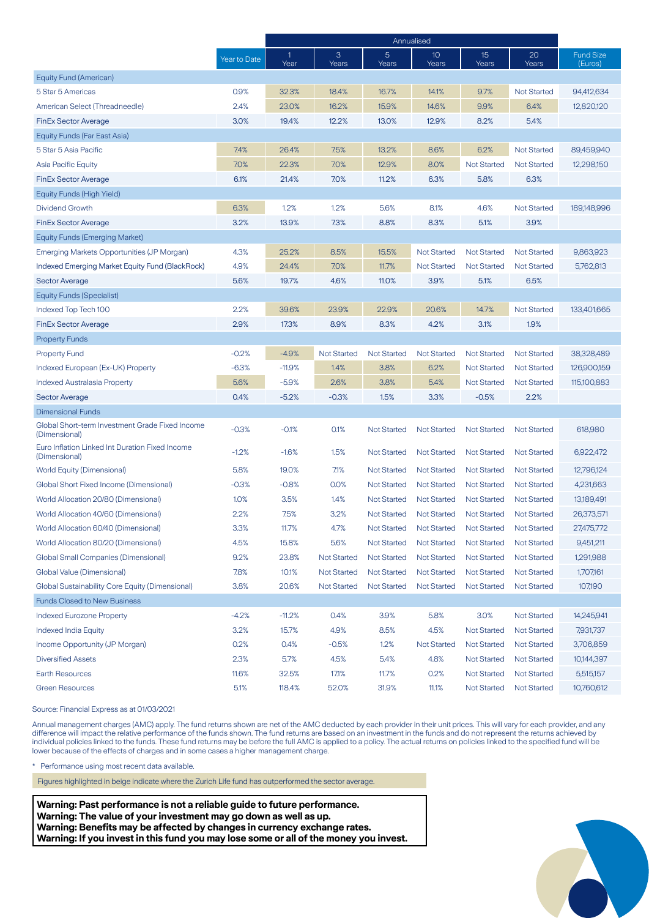|                                                                  |              | Annualised           |                    |                    |                    |                    |                    |                             |
|------------------------------------------------------------------|--------------|----------------------|--------------------|--------------------|--------------------|--------------------|--------------------|-----------------------------|
|                                                                  | Year to Date | $\mathbf{1}$<br>Year | 3<br>Years         | 5<br>Years         | 10<br>Years        | 15<br>Years        | 20<br>Years        | <b>Fund Size</b><br>(Euros) |
| Equity Fund (American)                                           |              |                      |                    |                    |                    |                    |                    |                             |
| 5 Star 5 Americas                                                | 0.9%         | 32.3%                | 18.4%              | 16.7%              | 14.1%              | 9.7%               | <b>Not Started</b> | 94,412,634                  |
| American Select (Threadneedle)                                   | 2.4%         | 23.0%                | 16.2%              | 15.9%              | 14.6%              | 9.9%               | 6.4%               | 12,820,120                  |
| <b>FinEx Sector Average</b>                                      | 3.0%         | 19.4%                | 12.2%              | 13.0%              | 12.9%              | 8.2%               | 5.4%               |                             |
| Equity Funds (Far East Asia)                                     |              |                      |                    |                    |                    |                    |                    |                             |
| 5 Star 5 Asia Pacific                                            | 7.4%         | 26.4%                | 7.5%               | 13.2%              | 8.6%               | 6.2%               | <b>Not Started</b> | 89,459,940                  |
| <b>Asia Pacific Equity</b>                                       | 7.0%         | 22.3%                | 7.0%               | 12.9%              | 8.0%               | <b>Not Started</b> | <b>Not Started</b> | 12,298,150                  |
| <b>FinEx Sector Average</b>                                      | 6.1%         | 21.4%                | 7.0%               | 11.2%              | 6.3%               | 5.8%               | 6.3%               |                             |
| Equity Funds (High Yield)                                        |              |                      |                    |                    |                    |                    |                    |                             |
| <b>Dividend Growth</b>                                           | 6.3%         | 1.2%                 | 1.2%               | 5.6%               | 8.1%               | 4.6%               | <b>Not Started</b> | 189,148,996                 |
| <b>FinEx Sector Average</b>                                      | 3.2%         | 13.9%                | 7.3%               | 8.8%               | 8.3%               | 5.1%               | 3.9%               |                             |
| <b>Equity Funds (Emerging Market)</b>                            |              |                      |                    |                    |                    |                    |                    |                             |
| Emerging Markets Opportunities (JP Morgan)                       | 4.3%         | 25.2%                | 8.5%               | 15.5%              | <b>Not Started</b> | <b>Not Started</b> | <b>Not Started</b> | 9,863,923                   |
| <b>Indexed Emerging Market Equity Fund (BlackRock)</b>           | 4.9%         | 24.4%                | 7.0%               | 11.7%              | <b>Not Started</b> | <b>Not Started</b> | <b>Not Started</b> | 5,762,813                   |
| <b>Sector Average</b>                                            | 5.6%         | 19.7%                | 4.6%               | 11.0%              | 3.9%               | 5.1%               | 6.5%               |                             |
| <b>Equity Funds (Specialist)</b>                                 |              |                      |                    |                    |                    |                    |                    |                             |
| Indexed Top Tech 100                                             | 2.2%         | 39.6%                | 23.9%              | 22.9%              | 20.6%              | 14.7%              | <b>Not Started</b> | 133,401,665                 |
| <b>FinEx Sector Average</b>                                      | 2.9%         | 17.3%                | 8.9%               | 8.3%               | 4.2%               | 3.1%               | 1.9%               |                             |
| <b>Property Funds</b>                                            |              |                      |                    |                    |                    |                    |                    |                             |
| <b>Property Fund</b>                                             | $-0.2%$      | $-4.9%$              | <b>Not Started</b> | <b>Not Started</b> | <b>Not Started</b> | <b>Not Started</b> | <b>Not Started</b> | 38,328,489                  |
| Indexed European (Ex-UK) Property                                | $-6.3%$      | $-11.9%$             | 1.4%               | 3.8%               | 6.2%               | <b>Not Started</b> | <b>Not Started</b> | 126,900,159                 |
| <b>Indexed Australasia Property</b>                              | 5.6%         | $-5.9%$              | 2.6%               | 3.8%               | 5.4%               | <b>Not Started</b> | <b>Not Started</b> | 115,100,883                 |
| <b>Sector Average</b>                                            | 0.4%         | $-5.2%$              | $-0.3%$            | 1.5%               | 3.3%               | $-0.5%$            | 2.2%               |                             |
| <b>Dimensional Funds</b>                                         |              |                      |                    |                    |                    |                    |                    |                             |
| Global Short-term Investment Grade Fixed Income<br>(Dimensional) | $-0.3%$      | $-0.1%$              | 0.1%               | <b>Not Started</b> | <b>Not Started</b> | <b>Not Started</b> | <b>Not Started</b> | 618,980                     |
| Euro Inflation Linked Int Duration Fixed Income<br>(Dimensional) | $-1.2%$      | $-1.6%$              | 1.5%               | <b>Not Started</b> | <b>Not Started</b> | <b>Not Started</b> | <b>Not Started</b> | 6,922,472                   |
| World Equity (Dimensional)                                       | 5.8%         | 19.0%                | 7.1%               | <b>Not Started</b> | <b>Not Started</b> | <b>Not Started</b> | <b>Not Started</b> | 12,796,124                  |
| Global Short Fixed Income (Dimensional)                          | $-0.3%$      | $-0.8%$              | 0.0%               | <b>Not Started</b> | <b>Not Started</b> | <b>Not Started</b> | <b>Not Started</b> | 4,231,663                   |
| World Allocation 20/80 (Dimensional)                             | 1.0%         | 3.5%                 | 1.4%               | <b>Not Started</b> | <b>Not Started</b> | <b>Not Started</b> | <b>Not Started</b> | 13,189,491                  |
| World Allocation 40/60 (Dimensional)                             | 2.2%         | 7.5%                 | 3.2%               | <b>Not Started</b> | <b>Not Started</b> | <b>Not Started</b> | <b>Not Started</b> | 26,373,571                  |
| World Allocation 60/40 (Dimensional)                             | 3.3%         | 11.7%                | 4.7%               | <b>Not Started</b> | <b>Not Started</b> | <b>Not Started</b> | <b>Not Started</b> | 27,475,772                  |
| World Allocation 80/20 (Dimensional)                             | 4.5%         | 15.8%                | 5.6%               | <b>Not Started</b> | <b>Not Started</b> | <b>Not Started</b> | <b>Not Started</b> | 9,451,211                   |
| <b>Global Small Companies (Dimensional)</b>                      | 9.2%         | 23.8%                | <b>Not Started</b> | Not Started        | Not Started        | Not Started        | <b>Not Started</b> | 1,291,988                   |
| Global Value (Dimensional)                                       | 7.8%         | 10.1%                | <b>Not Started</b> | <b>Not Started</b> | <b>Not Started</b> | <b>Not Started</b> | <b>Not Started</b> | 1,707,161                   |
| Global Sustainability Core Equity (Dimensional)                  | 3.8%         | 20.6%                | <b>Not Started</b> | <b>Not Started</b> | <b>Not Started</b> | <b>Not Started</b> | <b>Not Started</b> | 107,190                     |
| <b>Funds Closed to New Business</b>                              |              |                      |                    |                    |                    |                    |                    |                             |
| <b>Indexed Eurozone Property</b>                                 | $-4.2%$      | $-11.2%$             | 0.4%               | 3.9%               | 5.8%               | 3.0%               | <b>Not Started</b> | 14,245,941                  |
| <b>Indexed India Equity</b>                                      | 3.2%         | 15.7%                | 4.9%               | 8.5%               | 4.5%               | <b>Not Started</b> | <b>Not Started</b> | 7,931,737                   |
| Income Opportunity (JP Morgan)                                   | 0.2%         | 0.4%                 | $-0.5%$            | 1.2%               | <b>Not Started</b> | <b>Not Started</b> | <b>Not Started</b> | 3,706,859                   |
| <b>Diversified Assets</b>                                        | 2.3%         | 5.7%                 | 4.5%               | 5.4%               | 4.8%               | <b>Not Started</b> | <b>Not Started</b> | 10,144,397                  |
| <b>Earth Resources</b>                                           | 11.6%        | 32.5%                | 17.1%              | 11.7%              | 0.2%               | <b>Not Started</b> | <b>Not Started</b> | 5,515,157                   |
| <b>Green Resources</b>                                           | 5.1%         | 118.4%               | 52.0%              | 31.9%              | 11.1%              | <b>Not Started</b> | <b>Not Started</b> | 10,760,612                  |

Source: Financial Express as at 01/03/2021

Annual management charges (AMC) apply. The fund returns shown are net of the AMC deducted by each provider in their unit prices. This will vary for each provider, and any difference will impact the relative performance of the funds shown. The fund returns are based on an investment in the funds and do not represent the returns achieved by individual policies linked to the funds. These fund returns may be before the full AMC is applied to a policy. The actual returns on policies linked to the specified fund will be lower because of the effects of charges and in some cases a higher management charge.

\* Performance using most recent data available.

Figures highlighted in beige indicate where the Zurich Life fund has outperformed the sector average.

**Warning: Past performance is not a reliable guide to future performance. Warning: The value of your investment may go down as well as up. Warning: Benefits may be affected by changes in currency exchange rates. Warning: If you invest in this fund you may lose some or all of the money you invest.**